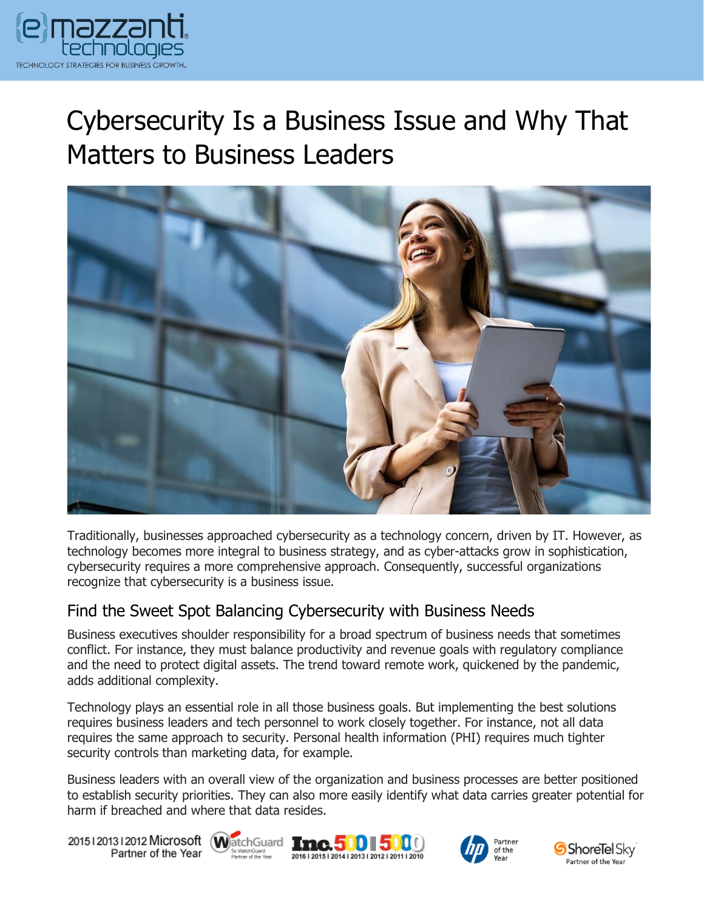

# Cybersecurity Is a Business Issue and Why That Matters to Business Leaders



Traditionally, businesses approached cybersecurity as a technology concern, driven by IT. However, as technology becomes more integral to business strategy, and as cyber-attacks grow in sophistication, cybersecurity requires a more comprehensive approach. Consequently, successful organizations recognize that cybersecurity is a business issue.

#### Find the Sweet Spot Balancing Cybersecurity with Business Needs

Business executives shoulder responsibility for a broad spectrum of business needs that sometimes conflict. For instance, they must balance productivity and revenue goals with regulatory compliance and the need to protect digital assets. The trend toward remote work, quickened by the pandemic, adds additional complexity.

Technology plays an essential role in all those business goals. But implementing the best solutions requires business leaders and tech personnel to work closely together. For instance, not all data requires the same approach to security. Personal health information (PHI) requires much tighter security controls than marketing data, for example.

Business leaders with an overall view of the organization and business processes are better positioned to establish security priorities. They can also more easily identify what data carries greater potential for harm if breached and where that data resides.

20151201312012 Microsoft WatchGuard Tnc. 500 500 Partner of the Year







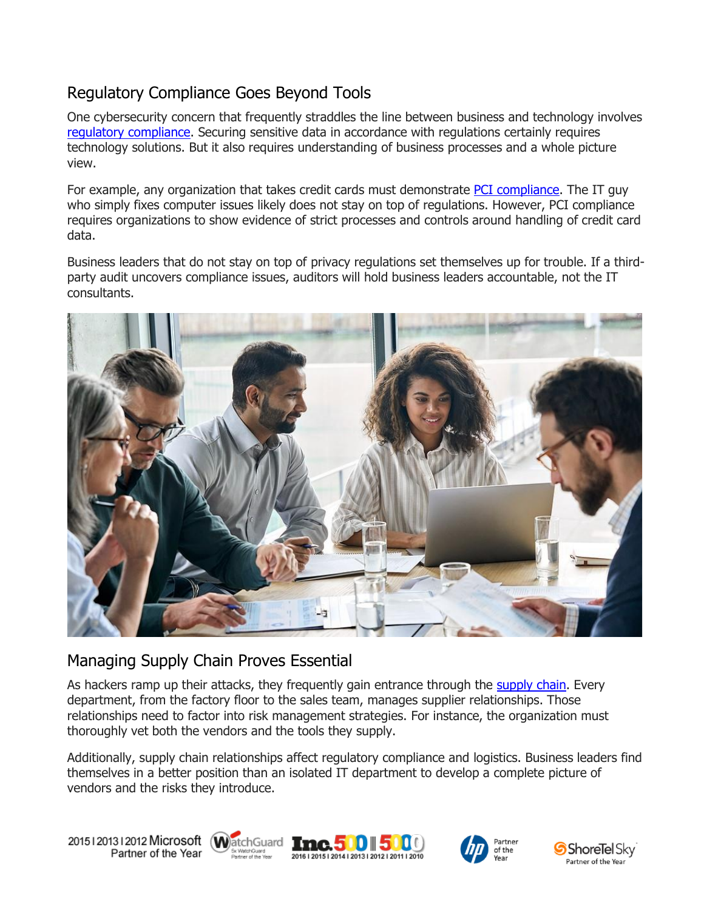## Regulatory Compliance Goes Beyond Tools

One cybersecurity concern that frequently straddles the line between business and technology involves [regulatory compliance.](https://messagingarchitects.com/privacy-compliance-and-remote-work/) Securing sensitive data in accordance with regulations certainly requires technology solutions. But it also requires understanding of business processes and a whole picture view.

For example, any organization that takes credit cards must demonstrate [PCI compliance.](https://www.emazzanti.net/why-pci-compliance-is-not-enough-security/) The IT guy who simply fixes computer issues likely does not stay on top of regulations. However, PCI compliance requires organizations to show evidence of strict processes and controls around handling of credit card data.

Business leaders that do not stay on top of privacy regulations set themselves up for trouble. If a thirdparty audit uncovers compliance issues, auditors will hold business leaders accountable, not the IT consultants.



### Managing Supply Chain Proves Essential

As hackers ramp up their attacks, they frequently gain entrance through the [supply chain.](https://www.emazzanti.net/supply-chain-cyber-security/) Every department, from the factory floor to the sales team, manages supplier relationships. Those relationships need to factor into risk management strategies. For instance, the organization must thoroughly vet both the vendors and the tools they supply.

Additionally, supply chain relationships affect regulatory compliance and logistics. Business leaders find themselves in a better position than an isolated IT department to develop a complete picture of vendors and the risks they introduce.

20151201312012 Microsoft WatchGuard Tnc. 500 500 Partner of the Year